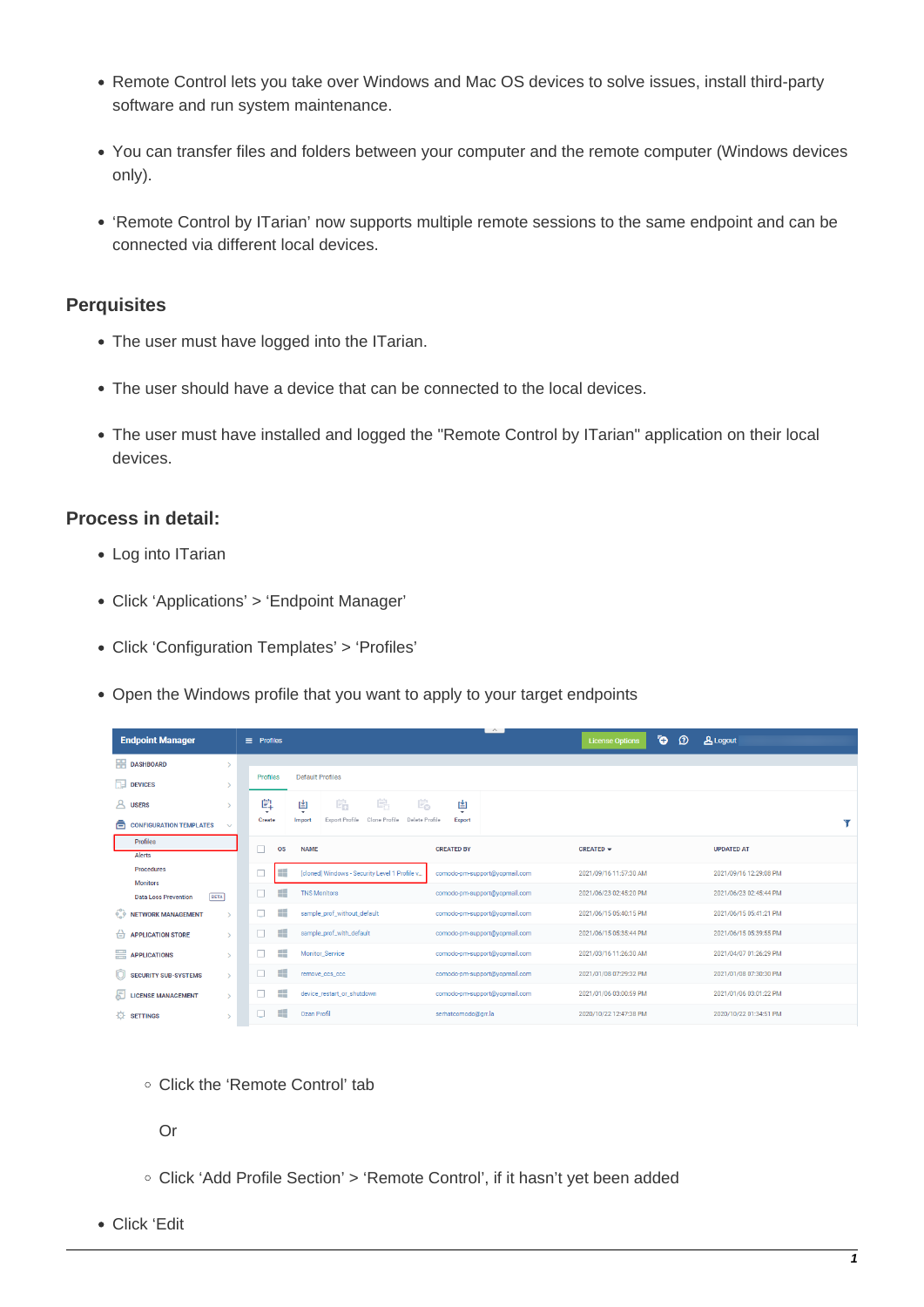- Remote Control lets you take over Windows and Mac OS devices to solve issues, install third-party software and run system maintenance.
- You can transfer files and folders between your computer and the remote computer (Windows devices only).
- 'Remote Control by ITarian' now supports multiple remote sessions to the same endpoint and can be connected via different local devices.

## **Perquisites**

- The user must have logged into the ITarian.
- The user should have a device that can be connected to the local devices.
- The user must have installed and logged the "Remote Control by ITarian" application on their local devices.

## **Process in detail:**

- Log into ITarian
- Click 'Applications' > 'Endpoint Manager'
- Click 'Configuration Templates' > 'Profiles'
- Open the Windows profile that you want to apply to your target endpoints

| <b>Endpoint Manager</b>                                       | $\equiv$ Profiles                                                     | $\sim$                        | ō.<br>$\Omega$<br><b>License Options</b> | <b>A</b> Logout        |
|---------------------------------------------------------------|-----------------------------------------------------------------------|-------------------------------|------------------------------------------|------------------------|
| <b>HR</b> DASHBOARD                                           |                                                                       |                               |                                          |                        |
| $\Box$ DEVICES                                                | <b>Default Profiles</b><br>Profiles                                   |                               |                                          |                        |
| <b>8</b> USERS                                                | 鸕<br>Ë.<br>呞<br>島<br>鸟<br>$\overline{\phantom{a}}$                    | 固<br>۰                        |                                          |                        |
| ⊜<br><b>CONFIGURATION TEMPLATES</b><br>$\checkmark$           | Export Profile<br>Clone Profile<br>Delete Profile<br>Create<br>Import | Export                        |                                          |                        |
| <b>Profiles</b><br>Alerts                                     | П<br><b>OS</b><br><b>NAME</b>                                         | <b>CREATED BY</b>             | CREATED -                                | <b>UPDATED AT</b>      |
| <b>Procedures</b>                                             | æ<br>$\Box$<br>[cloned] Windows - Security Level 1 Profile v          | comodo-pm-support@yopmail.com | 2021/09/16 11:57:30 AM                   | 2021/09/16 12:29:08 PM |
| <b>Monitors</b><br><b>BETA</b><br><b>Data Loss Prevention</b> | æ<br><b>TNS Monitors</b><br>п                                         | comodo-pm-support@yopmail.com | 2021/06/23 02:45:20 PM                   | 2021/06/23 02:45:44 PM |
| NETWORK MANAGEMENT<br>$\rightarrow$                           | m<br>sample prof without default                                      | comodo-pm-support@vopmail.com | 2021/06/15 05:40:15 PM                   | 2021/06/15 05:41:21 PM |
| $\Rightarrow$ APPLICATION STORE<br>$\rightarrow$              | æ<br>sample_prof_with_default<br>ш                                    | comodo-pm-support@yopmail.com | 2021/06/15 05:35:44 PM                   | 2021/06/15 05:39:55 PM |
| APPLICATIONS<br>$\rightarrow$                                 | ₩.<br>Monitor_Service                                                 | comodo-pm-support@vopmail.com | 2021/03/16 11:26:30 AM                   | 2021/04/07 01:26:29 PM |
| O<br><b>SECURITY SUB-SYSTEMS</b><br>$\rightarrow$             | ÷<br>ш<br>remove_ccs_ccc                                              | comodo-pm-support@yopmail.com | 2021/01/08 07:29:32 PM                   | 2021/01/08 07:30:30 PM |
| 周<br><b>LICENSE MANAGEMENT</b><br>$\rightarrow$               | 92<br>device_restart_or_shutdown                                      | comodo-pm-support@yopmail.com | 2021/01/06 03:00:59 PM                   | 2021/01/06 03:01:22 PM |
| 登<br><b>SETTINGS</b><br>$\mathbf{v}$                          | æ<br>Ozan Profil<br>ш                                                 | serhatcomodo@grr.la           | 2020/10/22 12:47:38 PM                   | 2020/10/22 01:34:51 PM |

Click the 'Remote Control' tab

Or

- Click 'Add Profile Section' > 'Remote Control', if it hasn't yet been added
- Click 'Edit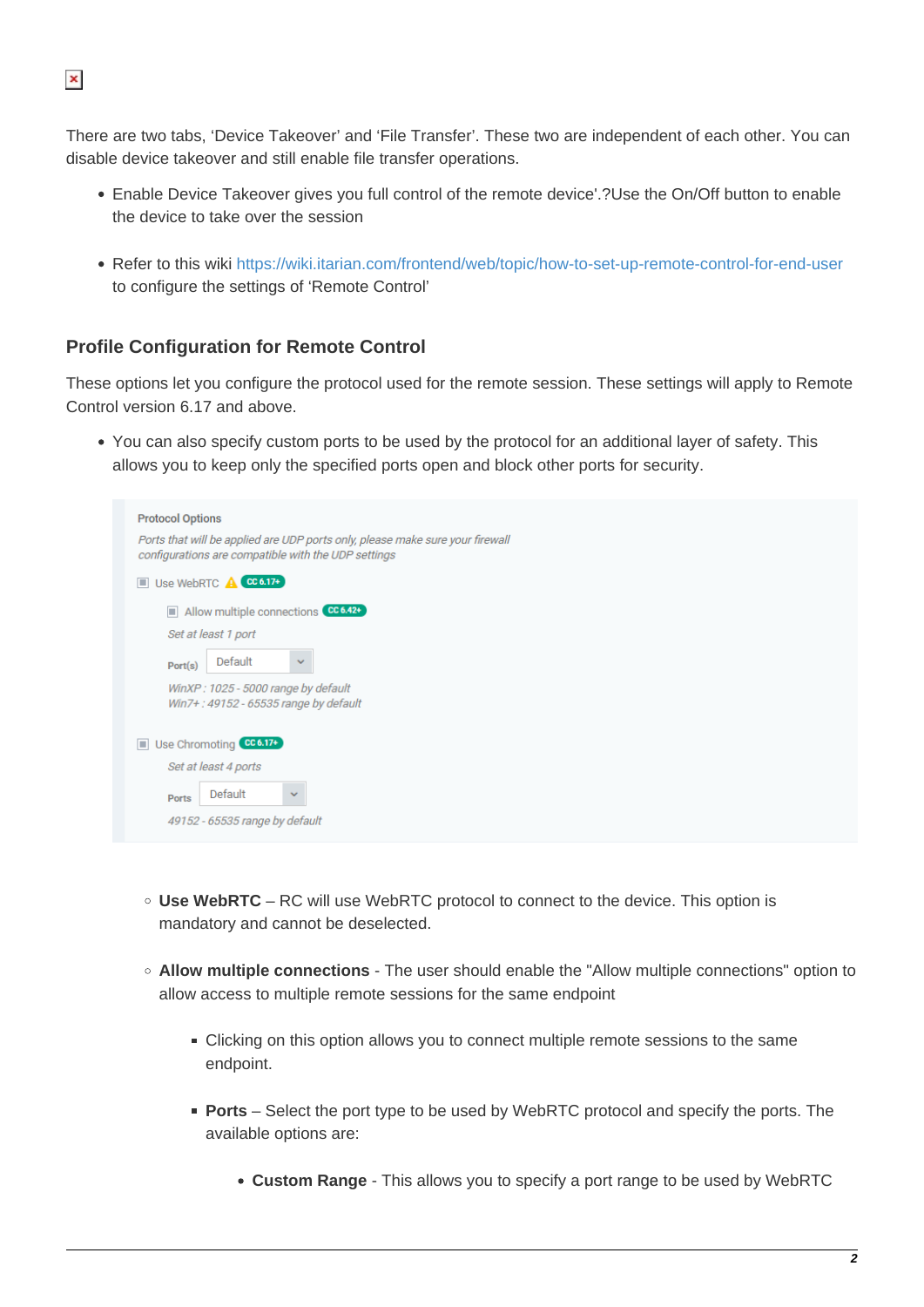There are two tabs, 'Device Takeover' and 'File Transfer'. These two are independent of each other. You can disable device takeover and still enable file transfer operations.

- Enable Device Takeover gives you full control of the remote device'.?Use the On/Off button to enable the device to take over the session
- Refer to this wiki<https://wiki.itarian.com/frontend/web/topic/how-to-set-up-remote-control-for-end-user> to configure the settings of 'Remote Control'

## **Profile Configuration for Remote Control**

These options let you configure the protocol used for the remote session. These settings will apply to Remote Control version 6.17 and above.

You can also specify custom ports to be used by the protocol for an additional layer of safety. This allows you to keep only the specified ports open and block other ports for security.

|                               | <b>Protocol Options</b>                                                                                                              |  |  |  |
|-------------------------------|--------------------------------------------------------------------------------------------------------------------------------------|--|--|--|
|                               | Ports that will be applied are UDP ports only, please make sure your firewall<br>configurations are compatible with the UDP settings |  |  |  |
|                               | Use WebRTC <b>A</b> CC 6.17+                                                                                                         |  |  |  |
|                               | Allow multiple connections CC 6.42+                                                                                                  |  |  |  |
|                               | Set at least 1 port                                                                                                                  |  |  |  |
|                               | Default<br>$\checkmark$<br>Port(s)                                                                                                   |  |  |  |
|                               | WinXP: 1025 - 5000 range by default<br>Win7+: 49152 - 65535 range by default                                                         |  |  |  |
| Use Chromoting CC 6.17+<br>o. |                                                                                                                                      |  |  |  |
|                               | Set at least 4 ports                                                                                                                 |  |  |  |
|                               | Default<br>$\mathbf{v}$<br><b>Ports</b>                                                                                              |  |  |  |
|                               | 49152 - 65535 range by default                                                                                                       |  |  |  |
|                               |                                                                                                                                      |  |  |  |

- **Use WebRTC**  RC will use WebRTC protocol to connect to the device. This option is mandatory and cannot be deselected.
- **Allow multiple connections** The user should enable the "Allow multiple connections" option to allow access to multiple remote sessions for the same endpoint
	- Clicking on this option allows you to connect multiple remote sessions to the same endpoint.
	- **Ports** Select the port type to be used by WebRTC protocol and specify the ports. The available options are:
		- **Custom Range** This allows you to specify a port range to be used by WebRTC

 $\pmb{\times}$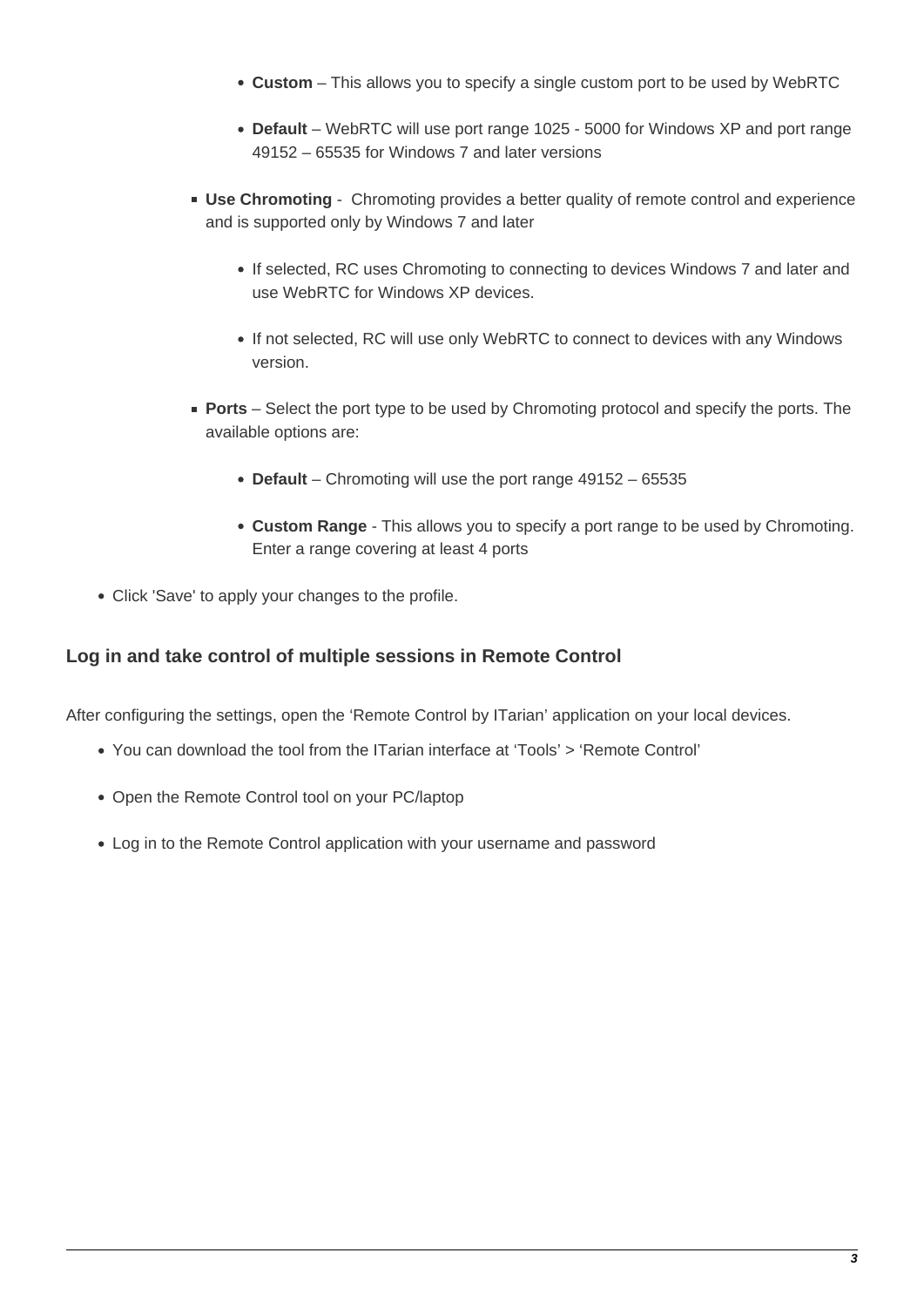- **Custom** This allows you to specify a single custom port to be used by WebRTC
- **Default** WebRTC will use port range 1025 5000 for Windows XP and port range 49152 – 65535 for Windows 7 and later versions
- **Use Chromoting** Chromoting provides a better quality of remote control and experience and is supported only by Windows 7 and later
	- If selected, RC uses Chromoting to connecting to devices Windows 7 and later and use WebRTC for Windows XP devices.
	- If not selected, RC will use only WebRTC to connect to devices with any Windows version.
- **Ports** Select the port type to be used by Chromoting protocol and specify the ports. The available options are:
	- **Default**  Chromoting will use the port range 49152 65535
	- **Custom Range** This allows you to specify a port range to be used by Chromoting. Enter a range covering at least 4 ports
- Click 'Save' to apply your changes to the profile.

## **Log in and take control of multiple sessions in Remote Control**

After configuring the settings, open the 'Remote Control by ITarian' application on your local devices.

- You can download the tool from the ITarian interface at 'Tools' > 'Remote Control'
- Open the Remote Control tool on your PC/laptop
- Log in to the Remote Control application with your username and password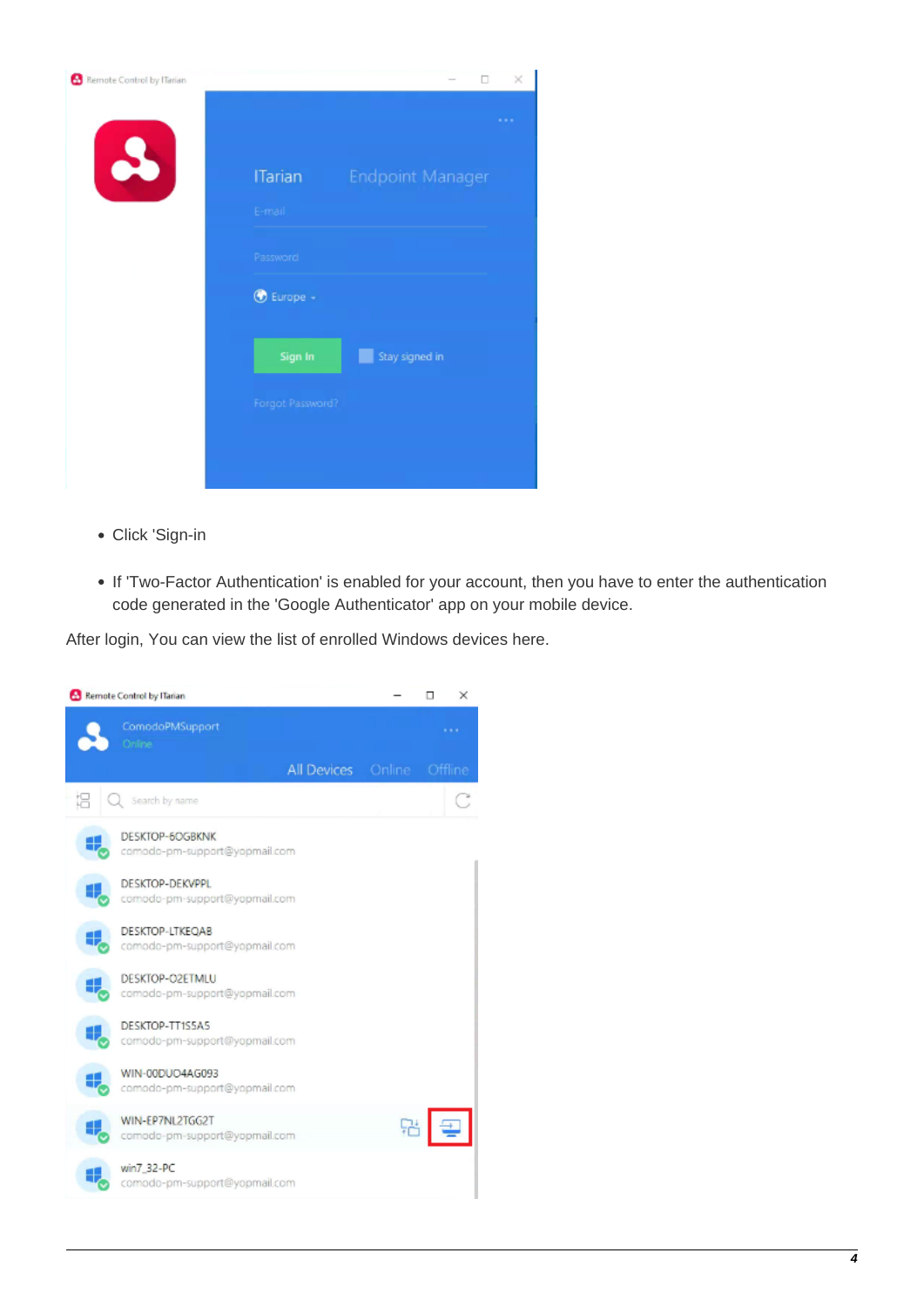| Remote Control by ITarian |                          | α                       | $\times$ |
|---------------------------|--------------------------|-------------------------|----------|
| $\mathbf{P}$              | <b>ITarian</b>           | <b>Endpoint Manager</b> |          |
|                           | E-mail                   |                         |          |
|                           | Password                 |                         |          |
|                           | <b><i>O</i></b> Europe - |                         |          |
|                           | Sign In                  | Stay signed in          |          |
|                           | Forgot Password?         |                         |          |
|                           |                          |                         |          |
|                           |                          |                         |          |

- Click 'Sign-in
- If 'Two-Factor Authentication' is enabled for your account, then you have to enter the authentication code generated in the 'Google Authenticator' app on your mobile device.

After login, You can view the list of enrolled Windows devices here.

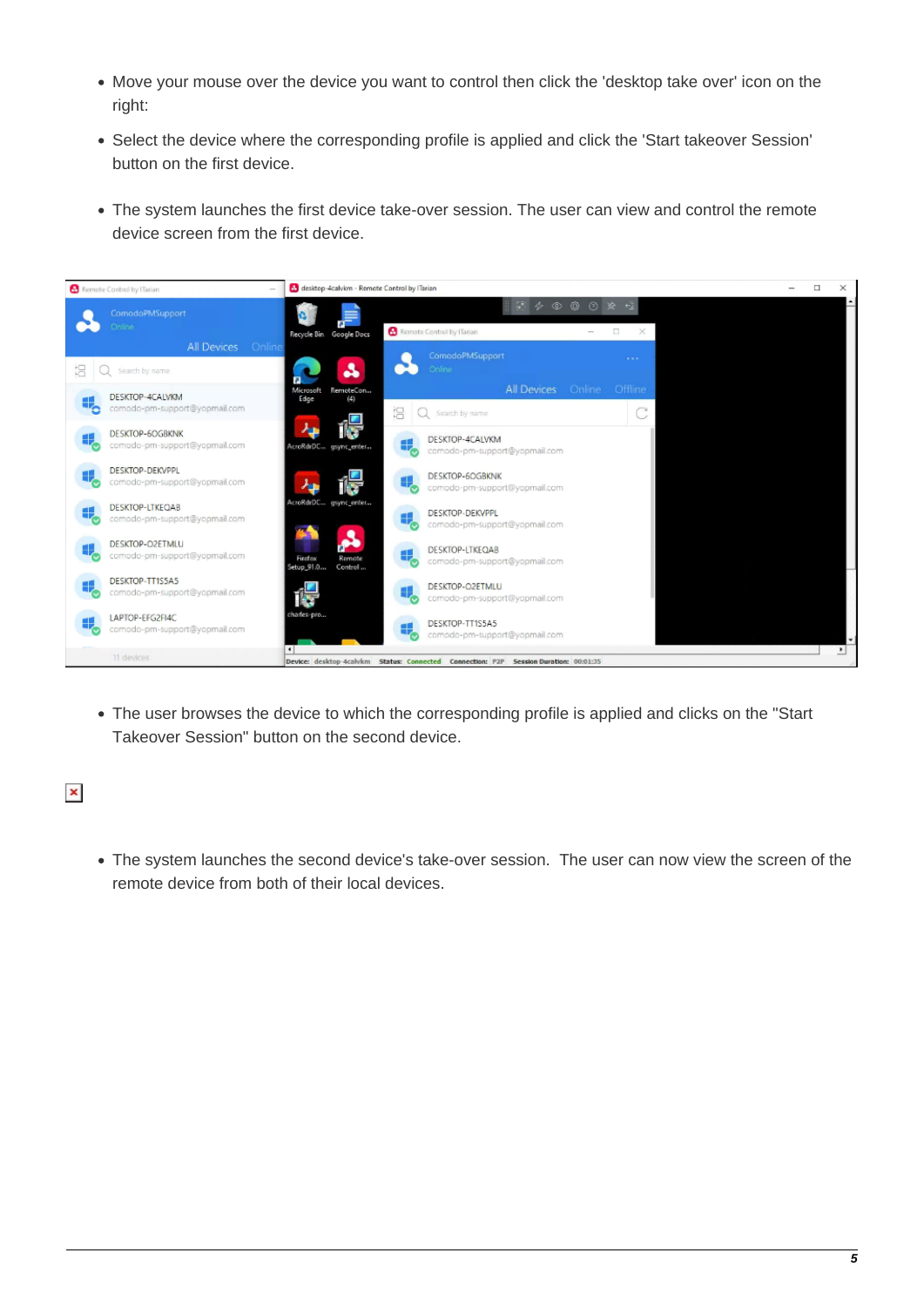- Move your mouse over the device you want to control then click the 'desktop take over' icon on the right:
- Select the device where the corresponding profile is applied and click the 'Start takeover Session' button on the first device.
- The system launches the first device take-over session. The user can view and control the remote device screen from the first device.



The user browses the device to which the corresponding profile is applied and clicks on the "Start Takeover Session" button on the second device.

 $\pmb{\times}$ 

The system launches the second device's take-over session. The user can now view the screen of the remote device from both of their local devices.